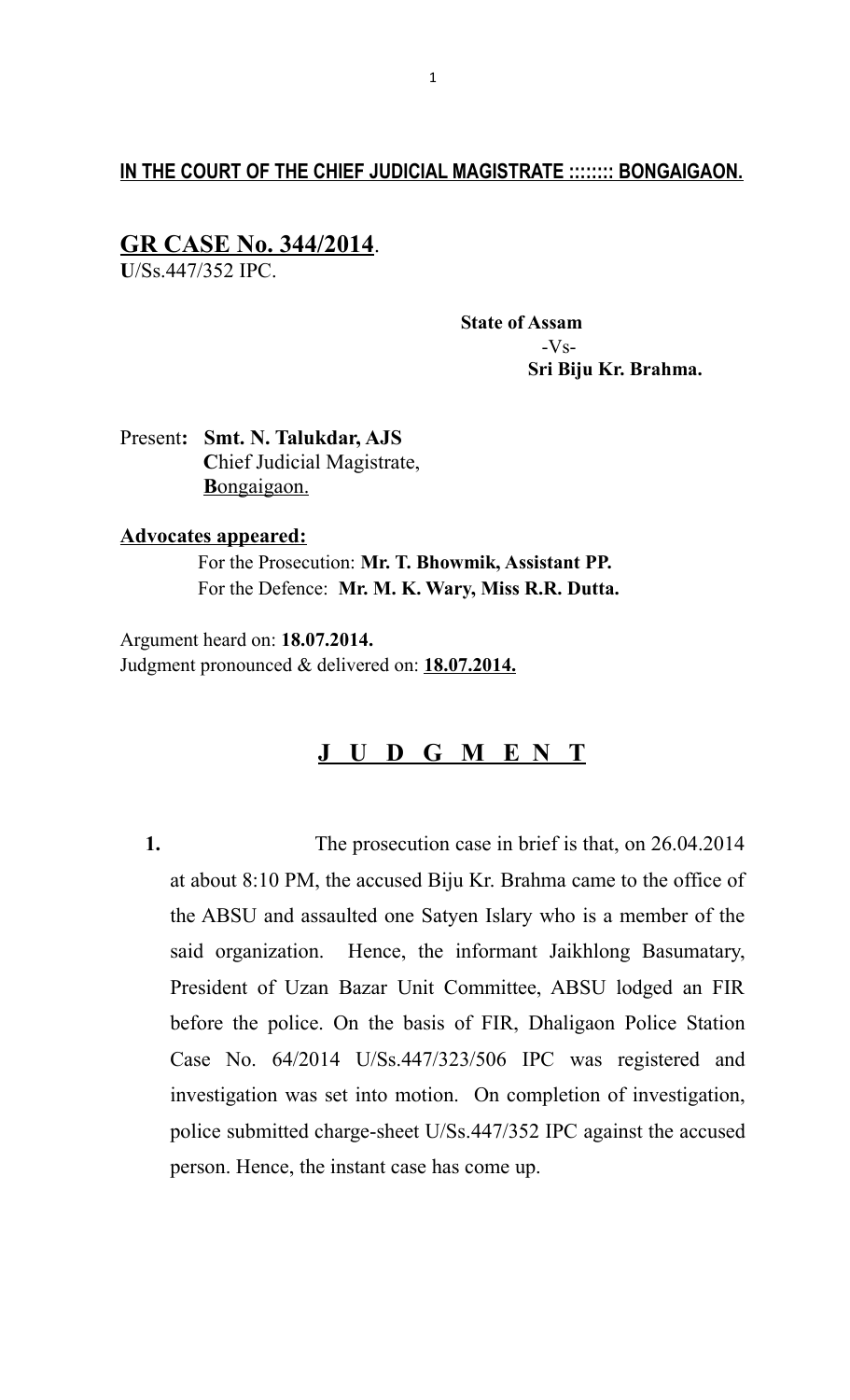# **IN THE COURT OF THE CHIEF JUDICIAL MAGISTRATE :::::::: BONGAIGAON.**

# **GR CASE No. 344/2014**.

**U**/Ss.447/352 IPC.

 **State of Assam** -Vs-  **Sri Biju Kr. Brahma.**

Present**: Smt. N. Talukdar, AJS C**hief Judicial Magistrate,  **B** ongaigaon.

#### **Advocates appeared:**

 For the Prosecution: **Mr. T. Bhowmik, Assistant PP.** For the Defence: **Mr. M. K. Wary, Miss R.R. Dutta.**

Argument heard on: **18.07.2014.** Judgment pronounced & delivered on: **18.07.2014.**

# **J U D G M E N T**

**1.** The prosecution case in brief is that, on 26.04.2014 at about 8:10 PM, the accused Biju Kr. Brahma came to the office of the ABSU and assaulted one Satyen Islary who is a member of the said organization. Hence, the informant Jaikhlong Basumatary, President of Uzan Bazar Unit Committee, ABSU lodged an FIR before the police. On the basis of FIR, Dhaligaon Police Station Case No. 64/2014 U/Ss.447/323/506 IPC was registered and investigation was set into motion. On completion of investigation, police submitted charge-sheet U/Ss.447/352 IPC against the accused person. Hence, the instant case has come up.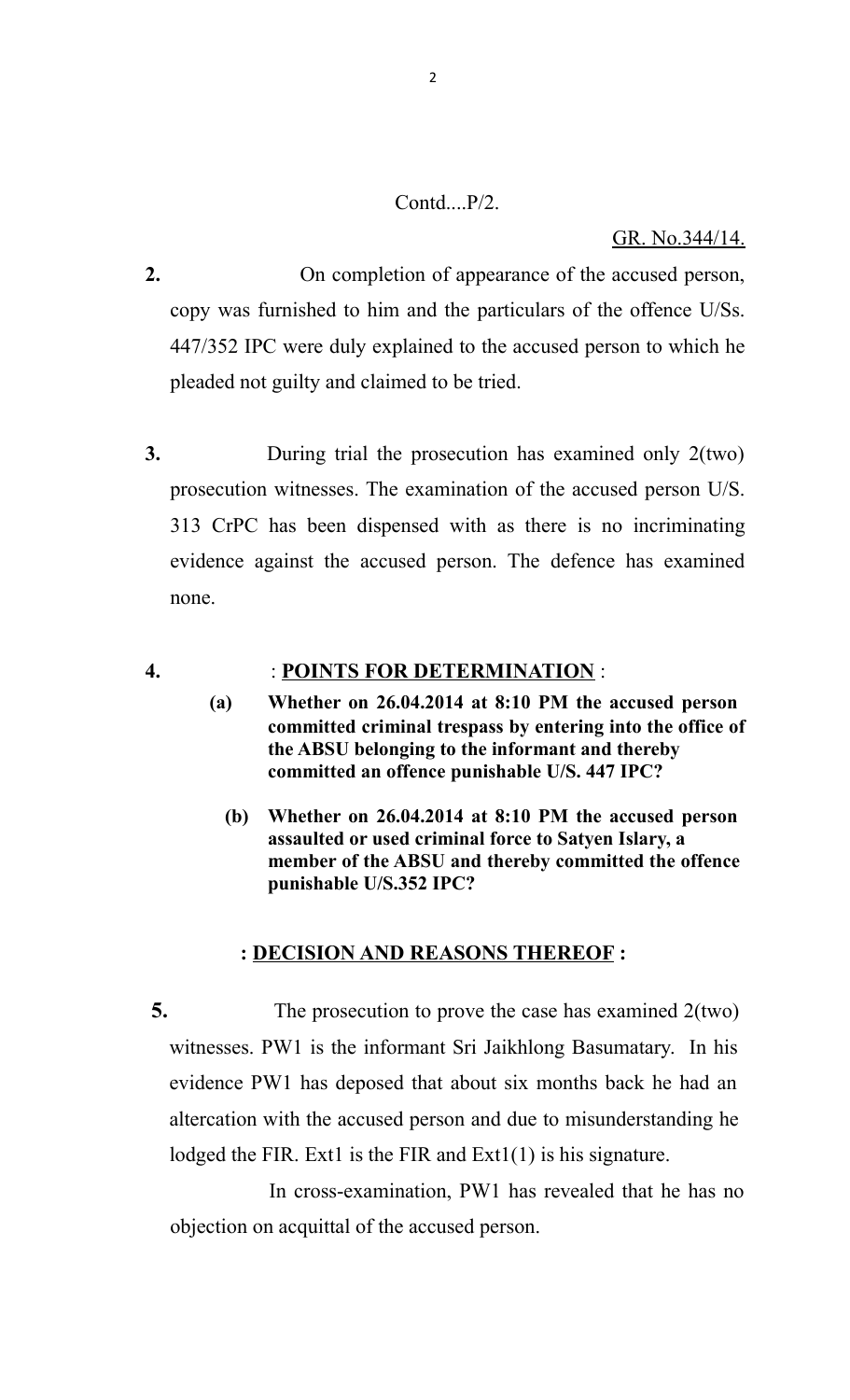# $Contd_{\dots}P/2$ .

#### GR. No.344/14.

- **2.** On completion of appearance of the accused person, copy was furnished to him and the particulars of the offence U/Ss. 447/352 IPC were duly explained to the accused person to which he pleaded not guilty and claimed to be tried.
- **3.** During trial the prosecution has examined only 2(two) prosecution witnesses. The examination of the accused person U/S. 313 CrPC has been dispensed with as there is no incriminating evidence against the accused person. The defence has examined none.

# **4.** : **POINTS FOR DETERMINATION** :

- **(a) Whether on 26.04.2014 at 8:10 PM the accused person committed criminal trespass by entering into the office of the ABSU belonging to the informant and thereby committed an offence punishable U/S. 447 IPC?**
	- **(b) Whether on 26.04.2014 at 8:10 PM the accused person assaulted or used criminal force to Satyen Islary, a member of the ABSU and thereby committed the offence punishable U/S.352 IPC?**

#### **: DECISION AND REASONS THEREOF :**

**5.** The prosecution to prove the case has examined 2(two) witnesses. PW1 is the informant Sri Jaikhlong Basumatary. In his evidence PW1 has deposed that about six months back he had an altercation with the accused person and due to misunderstanding he lodged the FIR. Ext1 is the FIR and  $Ext1(1)$  is his signature.

 In cross-examination, PW1 has revealed that he has no objection on acquittal of the accused person.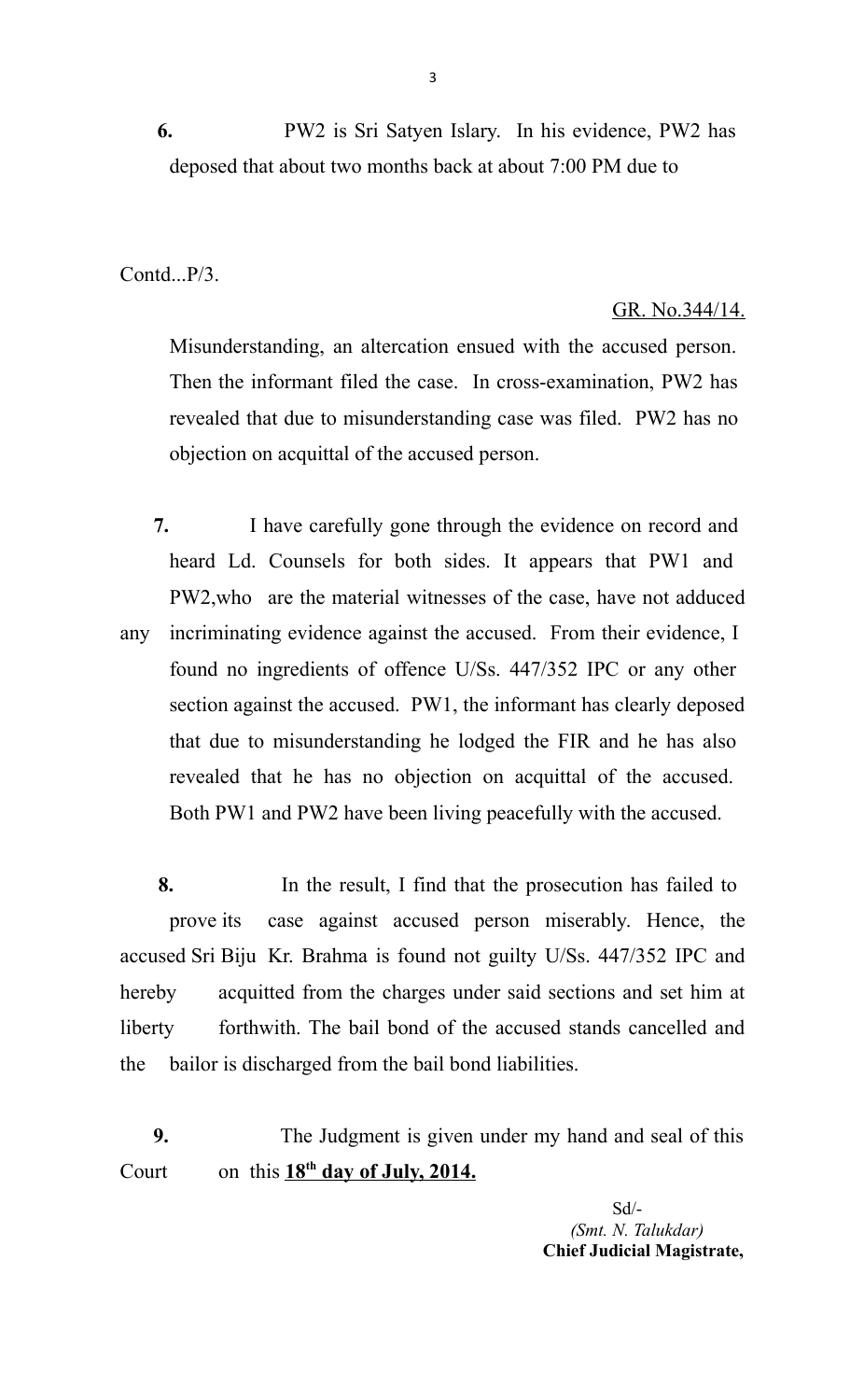**6.** PW2 is Sri Satyen Islary. In his evidence, PW2 has deposed that about two months back at about 7:00 PM due to

Contd...P/3.

# GR. No.344/14.

Misunderstanding, an altercation ensued with the accused person. Then the informant filed the case. In cross-examination, PW2 has revealed that due to misunderstanding case was filed. PW2 has no objection on acquittal of the accused person.

 **7.** I have carefully gone through the evidence on record and heard Ld. Counsels for both sides. It appears that PW1 and PW2,who are the material witnesses of the case, have not adduced any incriminating evidence against the accused. From their evidence, I found no ingredients of offence U/Ss. 447/352 IPC or any other section against the accused. PW1, the informant has clearly deposed that due to misunderstanding he lodged the FIR and he has also revealed that he has no objection on acquittal of the accused. Both PW1 and PW2 have been living peacefully with the accused.

 **8.** In the result, I find that the prosecution has failed to prove its case against accused person miserably. Hence, the accused Sri Biju Kr. Brahma is found not guilty U/Ss. 447/352 IPC and hereby acquitted from the charges under said sections and set him at liberty forthwith. The bail bond of the accused stands cancelled and the bailor is discharged from the bail bond liabilities.

 **9.** The Judgment is given under my hand and seal of this Court on this  $18^{th}$  day of July, 2014.

> Sd/- *(Smt. N. Talukdar)*  **Chief Judicial Magistrate,**